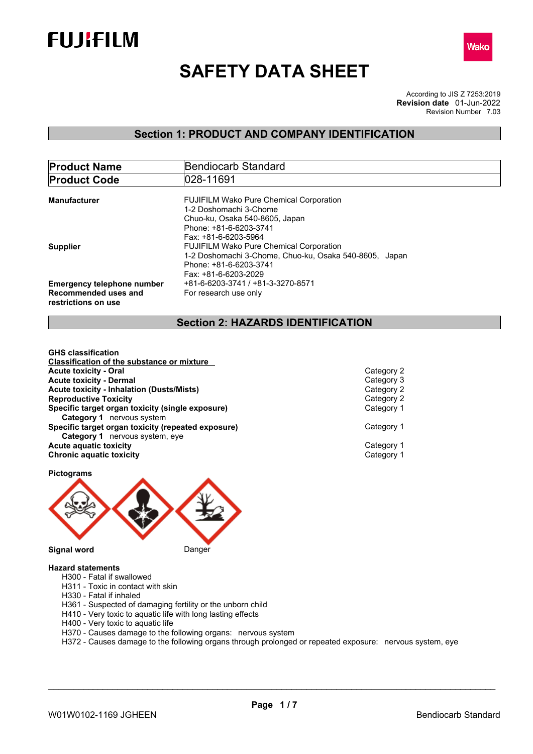



# **SAFETY DATA SHEET**

According to JIS Z 7253:2019 Revision Number 7.03 **Revision date** 01-Jun-2022

## **Section 1: PRODUCT AND COMPANY IDENTIFICATION**

| <b>Product Name</b>                                                              | Bendiocarb Standard                                                                                                                                          |  |  |
|----------------------------------------------------------------------------------|--------------------------------------------------------------------------------------------------------------------------------------------------------------|--|--|
| <b>Product Code</b>                                                              | 028-11691                                                                                                                                                    |  |  |
| Manufacturer                                                                     | <b>FUJIFILM Wako Pure Chemical Corporation</b><br>1-2 Doshomachi 3-Chome<br>Chuo-ku. Osaka 540-8605. Japan<br>Phone: +81-6-6203-3741<br>Fax: +81-6-6203-5964 |  |  |
| <b>Supplier</b>                                                                  | <b>FUJIFILM Wako Pure Chemical Corporation</b><br>1-2 Doshomachi 3-Chome, Chuo-ku, Osaka 540-8605, Japan<br>Phone: +81-6-6203-3741<br>Fax: +81-6-6203-2029   |  |  |
| <b>Emergency telephone number</b><br>Recommended uses and<br>restrictions on use | +81-6-6203-3741 / +81-3-3270-8571<br>For research use only                                                                                                   |  |  |

## **Section 2: HAZARDS IDENTIFICATION**

**GHS classification Classification of the substance or mixture Acute toxicity - Oral Category 2**<br> **Acute toxicity - Dermal** Category 3 **Acute toxicity - Dermal** Category 3 **Acute toxicity - Inhalation (Dusts/Mists)**<br> **Reproductive Toxicity**<br>
Category 2 **Reproductive Toxicity**<br> **Specific target organ toxicity (single exposure)**<br>
Category 1 **Specific target organ toxicity (single exposure) Category 1** nervous system **Specific target organ toxicity (repeated exposure)** Category 1 **Category 1** nervous system, eye **Acute aquatic toxicity**<br> **Category 1**<br> **Chronic aquatic toxicity**<br> **Category 1 Chronic aquatic toxicity** 

**Pictograms**



#### **Hazard statements**

- H300 Fatal if swallowed
- H311 Toxic in contact with skin
- H330 Fatal if inhaled
- H361 Suspected of damaging fertility or the unborn child
- H410 Very toxic to aquatic life with long lasting effects
- H400 Very toxic to aquatic life
- H370 Causes damage to the following organs: nervous system
- H372 Causes damage to the following organs through prolonged or repeated exposure: nervous system, eye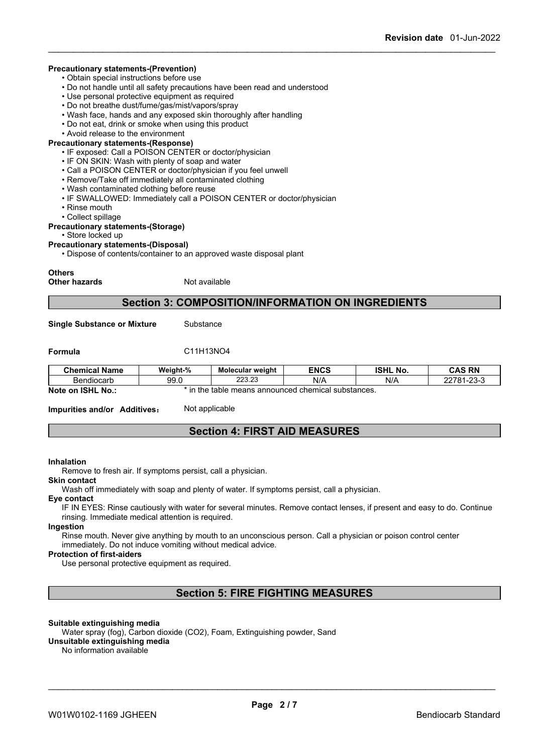#### **Precautionary statements-(Prevention)**

• Obtain special instructions before use

- Do not handle until all safety precautions have been read and understood
- Use personal protective equipment as required
- Do not breathe dust/fume/gas/mist/vapors/spray
- Wash face, hands and any exposed skin thoroughly after handling
- Do not eat, drink or smoke when using this product

#### • Avoid release to the environment **Precautionary statements-(Response)**

## • IF exposed: Call a POISON CENTER or doctor/physician

- IF ON SKIN: Wash with plenty of soap and water
- Call a POISON CENTER or doctor/physician if you feel unwell
- Remove/Take off immediately all contaminated clothing
- Wash contaminated clothing before reuse
- IF SWALLOWED: Immediately call a POISON CENTER or doctor/physician
- Rinse mouth
- Collect spillage

#### **Precautionary statements-(Storage)**

• Store locked up

#### **Precautionary statements-(Disposal)**

• Dispose of contents/container to an approved waste disposal plant

#### **Others**

**Other hazards** Not available

## **Section 3: COMPOSITION/INFORMATION ON INGREDIENTS**

**Single Substance or Mixture** Substance

#### **Formula** C11H13NO4

| <b>Chemical Name</b>           | Weight-%                                                     | <b>Molecular weight</b> | <b>ENCS</b> | <b>ISHL No.</b> | <b>CAS RN</b>                        |
|--------------------------------|--------------------------------------------------------------|-------------------------|-------------|-----------------|--------------------------------------|
| Bendiocarb                     | 99.0                                                         | 223.23                  | N/A         | N/A             | $\sim$ $\sim$<br>22701<br>22101-23-3 |
| Note on<br><b>ISHL</b><br>` No | l chemical substances.<br>means announced<br>in the<br>table |                         |             |                 |                                      |

**Impurities and/or Additives:** Not applicable

## **Section 4: FIRST AID MEASURES**

#### **Inhalation**

Remove to fresh air. If symptoms persist, call a physician.

#### **Skin contact**

Wash off immediately with soap and plenty of water. If symptoms persist, call a physician.

## **Eye contact**

IF IN EYES: Rinse cautiously with water for several minutes. Remove contact lenses, if present and easy to do. Continue rinsing. Immediate medical attention is required.

#### **Ingestion**

Rinse mouth. Never give anything by mouth to an unconscious person. Call a physician or poison control center immediately. Do not induce vomiting without medical advice.

#### **Protection of first-aiders**

Use personal protective equipment as required.

## **Section 5: FIRE FIGHTING MEASURES**

#### **Suitable extinguishing media**

Water spray (fog), Carbon dioxide (CO2), Foam, Extinguishing powder, Sand **Unsuitable extinguishing media**

## No information available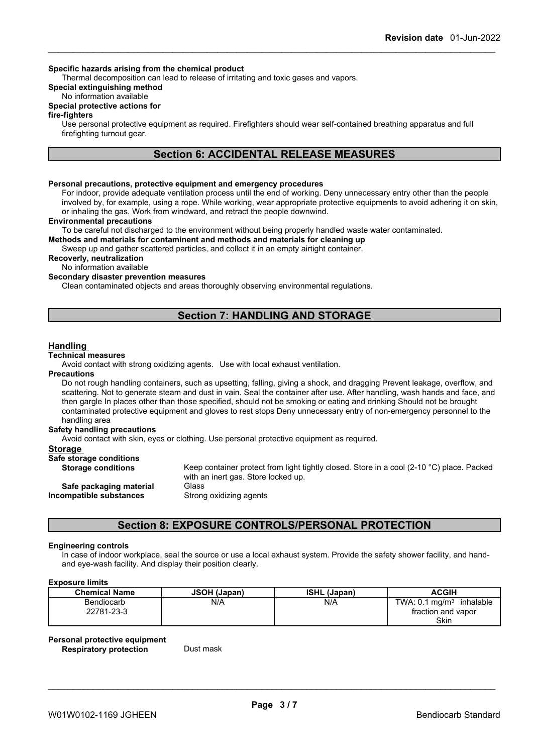#### **Specific hazards arising from the chemical product**

Thermal decomposition can lead to release of irritating and toxic gases and vapors.

#### **Special extinguishing method**

## No information available

## **Special protective actions for**

#### **fire-fighters**

Use personal protective equipment as required.Firefighters should wear self-contained breathing apparatus and full firefighting turnout gear.

## **Section 6: ACCIDENTAL RELEASE MEASURES**

#### **Personal precautions, protective equipment and emergency procedures**

For indoor, provide adequate ventilation process until the end of working. Deny unnecessary entry other than the people involved by, for example, using a rope. While working, wear appropriate protective equipments to avoid adhering it on skin, or inhaling the gas. Work from windward, and retract the people downwind.

#### **Environmental precautions**

To be careful not discharged to the environment without being properly handled waste water contaminated.

### **Methods and materials for contaminent and methods and materials for cleaning up**

Sweep up and gather scattered particles, and collect it in an empty airtight container.

**Recoverly, neutralization**

No information available

#### **Secondary disaster prevention measures**

Clean contaminated objects and areas thoroughly observing environmental regulations.

## **Section 7: HANDLING AND STORAGE**

#### **Handling**

#### **Technical measures**

Avoid contact with strong oxidizing agents. Use with local exhaust ventilation.

**Precautions**

Do not rough handling containers, such as upsetting, falling, giving a shock, and dragging Prevent leakage, overflow, and scattering. Not to generate steam and dust in vain. Seal the container after use. After handling, wash hands and face, and then gargle In places other than those specified, should not be smoking or eating and drinking Should not be brought contaminated protective equipment and gloves to rest stops Deny unnecessary entry of non-emergency personnel to the handling area

#### **Safety handling precautions**

Avoid contact with skin, eyes or clothing. Use personal protective equipment as required.

#### **Storage**

**Safe storage conditions**

**Storage conditions** Keep container protect from light tightly closed. Store in a cool (2-10 °C) place. Packed with an inert gas. Store locked up. **Safe packaging material** Glass **Incompatible substances** Strong oxidizing agents

## **Section 8: EXPOSURE CONTROLS/PERSONAL PROTECTION**

#### **Engineering controls**

In case of indoor workplace, seal the source or use a local exhaust system. Provide the safety shower facility, and handand eye-wash facility. And display their position clearly.

#### **Exposure limits**

| <b>Chemical Name</b>     | <b>JSOH (Japan)</b> | <b>ISHL (Japan)</b> | <b>ACGIH</b>                                                 |
|--------------------------|---------------------|---------------------|--------------------------------------------------------------|
| Bendiocarb<br>22781-23-3 | N/A                 | N/A                 | TWA: $0.1 \text{ mg/m}^3$<br>inhalable<br>fraction and vapor |
|                          |                     |                     | Skin                                                         |

#### **Personal protective equipment Respiratory protection** Dust mask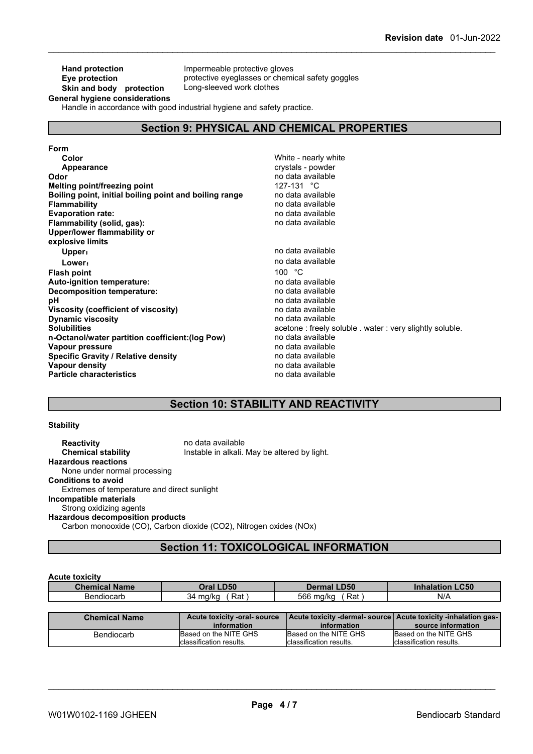# **Hand protection**<br> **Eye protection**<br> **Eye protection**<br> **Eye protection**<br> **Eye protective eyeglasses or chemi Skin** and body protection

protective eyeglasses or chemical safety goggles<br>Long-sleeved work clothes

**General hygiene considerations**

Handle in accordance with good industrial hygiene and safety practice.

## **Section 9: PHYSICAL AND CHEMICAL PROPERTIES**

| <b>Form</b>                                            |                                                         |
|--------------------------------------------------------|---------------------------------------------------------|
| Color                                                  | White - nearly white                                    |
| Appearance                                             | crystals - powder                                       |
| Odor                                                   | no data available                                       |
| Melting point/freezing point                           | 127-131 $^{\circ}$ C                                    |
| Boiling point, initial boiling point and boiling range | no data available                                       |
| <b>Flammability</b>                                    | no data available                                       |
| <b>Evaporation rate:</b>                               | no data available                                       |
| Flammability (solid, gas):                             | no data available                                       |
| Upper/lower flammability or                            |                                                         |
| explosive limits                                       |                                                         |
| Upper:                                                 | no data available                                       |
| Lower:                                                 | no data available                                       |
| <b>Flash point</b>                                     | 100 °C                                                  |
| Auto-ignition temperature:                             | no data available                                       |
| Decomposition temperature:                             | no data available                                       |
| рH                                                     | no data available                                       |
| Viscosity (coefficient of viscosity)                   | no data available                                       |
| <b>Dynamic viscosity</b>                               | no data available                                       |
| <b>Solubilities</b>                                    | acetone: freely soluble . water: very slightly soluble. |
| n-Octanol/water partition coefficient: (log Pow)       | no data available                                       |
| Vapour pressure                                        | no data available                                       |
| <b>Specific Gravity / Relative density</b>             | no data available                                       |
| <b>Vapour density</b>                                  | no data available                                       |
| <b>Particle characteristics</b>                        | no data available                                       |

# **Section 10: STABILITY AND REACTIVITY**

#### **Stability**

| <b>Reactivity</b>                           | no data available                                                  |
|---------------------------------------------|--------------------------------------------------------------------|
| <b>Chemical stability</b>                   | Instable in alkali. May be altered by light.                       |
| <b>Hazardous reactions</b>                  |                                                                    |
| None under normal processing                |                                                                    |
| <b>Conditions to avoid</b>                  |                                                                    |
| Extremes of temperature and direct sunlight |                                                                    |
| Incompatible materials                      |                                                                    |
| Strong oxidizing agents                     |                                                                    |
| <b>Hazardous decomposition products</b>     |                                                                    |
|                                             | Carbon monooxide (CO), Carbon dioxide (CO2), Nitrogen oxides (NOx) |

# **Section 11: TOXICOLOGICAL INFORMATION**

### **Acute toxicity**

| .                    |                       |                  |                                  |
|----------------------|-----------------------|------------------|----------------------------------|
| <b>Chemical Name</b> | <b>.D50</b><br>)ral   | LD50<br>Dermal   | <b>LC50</b><br><b>Inhalation</b> |
| Bendiocarb           | Rat<br>. ma/ko<br>34. | Rat<br>566 ma/ka | N/P                              |
|                      |                       |                  |                                  |

| <b>Chemical Name</b> | Acute toxicity -oral-source<br>information | Acute toxicity -dermal- source   Acute toxicity -inhalation gas-<br>information | source information       |
|----------------------|--------------------------------------------|---------------------------------------------------------------------------------|--------------------------|
| Bendiocarb           | Based on the NITE GHS                      | Based on the NITE GHS                                                           | Based on the NITE GHS    |
|                      | Iclassification results.                   | Iclassification results.                                                        | Iclassification results. |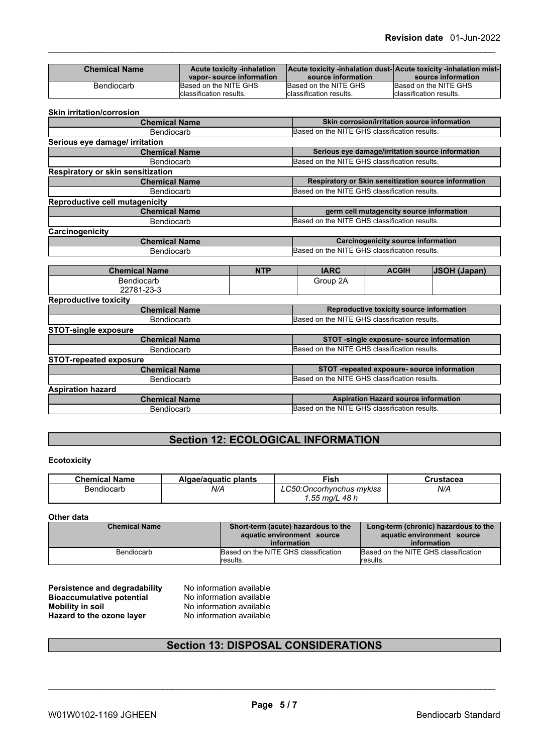| <b>Chemical Name</b> | <b>Acute toxicity -inhalation</b> | Acute toxicity -inhalation dust-  Acute toxicity -inhalation mist- |                          |
|----------------------|-----------------------------------|--------------------------------------------------------------------|--------------------------|
|                      | vapor-source information          | source information                                                 | source information       |
| Bendiocarb           | Based on the NITE GHS             | Based on the NITE GHS                                              | Based on the NITE GHS    |
|                      | Iclassification results.          | Iclassification results.                                           | Iclassification results. |

| <b>Chemical Name</b> |                                               | Skin corrosion/irritation source information  |                                                                                                                                                                                                                                                                                                                                                                                                                       |  |
|----------------------|-----------------------------------------------|-----------------------------------------------|-----------------------------------------------------------------------------------------------------------------------------------------------------------------------------------------------------------------------------------------------------------------------------------------------------------------------------------------------------------------------------------------------------------------------|--|
| Bendiocarb           |                                               |                                               |                                                                                                                                                                                                                                                                                                                                                                                                                       |  |
|                      |                                               |                                               |                                                                                                                                                                                                                                                                                                                                                                                                                       |  |
|                      |                                               |                                               |                                                                                                                                                                                                                                                                                                                                                                                                                       |  |
|                      |                                               |                                               |                                                                                                                                                                                                                                                                                                                                                                                                                       |  |
|                      |                                               |                                               |                                                                                                                                                                                                                                                                                                                                                                                                                       |  |
|                      |                                               |                                               |                                                                                                                                                                                                                                                                                                                                                                                                                       |  |
|                      |                                               |                                               |                                                                                                                                                                                                                                                                                                                                                                                                                       |  |
|                      |                                               |                                               |                                                                                                                                                                                                                                                                                                                                                                                                                       |  |
|                      |                                               |                                               |                                                                                                                                                                                                                                                                                                                                                                                                                       |  |
|                      |                                               |                                               |                                                                                                                                                                                                                                                                                                                                                                                                                       |  |
|                      |                                               |                                               |                                                                                                                                                                                                                                                                                                                                                                                                                       |  |
|                      |                                               |                                               |                                                                                                                                                                                                                                                                                                                                                                                                                       |  |
|                      | Based on the NITE GHS classification results. |                                               |                                                                                                                                                                                                                                                                                                                                                                                                                       |  |
|                      |                                               |                                               |                                                                                                                                                                                                                                                                                                                                                                                                                       |  |
|                      |                                               |                                               | <b>JSOH (Japan)</b>                                                                                                                                                                                                                                                                                                                                                                                                   |  |
|                      |                                               |                                               |                                                                                                                                                                                                                                                                                                                                                                                                                       |  |
|                      |                                               |                                               |                                                                                                                                                                                                                                                                                                                                                                                                                       |  |
|                      | Reproductive toxicity source information      |                                               |                                                                                                                                                                                                                                                                                                                                                                                                                       |  |
|                      | Based on the NITE GHS classification results. |                                               |                                                                                                                                                                                                                                                                                                                                                                                                                       |  |
|                      |                                               |                                               |                                                                                                                                                                                                                                                                                                                                                                                                                       |  |
|                      | STOT -single exposure- source information     |                                               |                                                                                                                                                                                                                                                                                                                                                                                                                       |  |
|                      | Based on the NITE GHS classification results. |                                               |                                                                                                                                                                                                                                                                                                                                                                                                                       |  |
|                      |                                               |                                               |                                                                                                                                                                                                                                                                                                                                                                                                                       |  |
| <b>Chemical Name</b> |                                               | STOT -repeated exposure- source information   |                                                                                                                                                                                                                                                                                                                                                                                                                       |  |
| Bendiocarb           |                                               | Based on the NITE GHS classification results. |                                                                                                                                                                                                                                                                                                                                                                                                                       |  |
|                      |                                               |                                               |                                                                                                                                                                                                                                                                                                                                                                                                                       |  |
|                      |                                               |                                               |                                                                                                                                                                                                                                                                                                                                                                                                                       |  |
|                      | Based on the NITE GHS classification results. | <b>Aspiration Hazard source information</b>   |                                                                                                                                                                                                                                                                                                                                                                                                                       |  |
|                      | <b>NTP</b>                                    | <b>IARC</b><br>Group 2A                       | Based on the NITE GHS classification results.<br>Serious eye damage/irritation source information<br>Based on the NITE GHS classification results.<br>Respiratory or Skin sensitization source information<br>Based on the NITE GHS classification results.<br>germ cell mutagencity source information<br>Based on the NITE GHS classification results.<br><b>Carcinogenicity source information</b><br><b>ACGIH</b> |  |

# **Section 12: ECOLOGICAL INFORMATION**

#### **Ecotoxicity**

| <b>Chemical Name</b> | Algae/aguatic plants | ™ish                      | 1192002<br>slacea |
|----------------------|----------------------|---------------------------|-------------------|
| Bendiocarb           | N/A                  | LC50: Oncorhynchus mykiss | N/A               |
|                      |                      | 48 h<br>.55 mq/l          |                   |

**Other data**

| <b>Chemical Name</b> | Short-term (acute) hazardous to the<br>aquatic environment source | Long-term (chronic) hazardous to the<br>aquatic environment source |  |
|----------------------|-------------------------------------------------------------------|--------------------------------------------------------------------|--|
|                      | information                                                       | information                                                        |  |
| Bendiocarb           | Based on the NITE GHS classification                              | Based on the NITE GHS classification                               |  |
|                      | lresults.                                                         | results.                                                           |  |

**Persistence and degradability** No information available<br>**Bioaccumulative potential** No information available **Bioaccumulative potential<br>Mobility in soil Hazard** to the ozone layer

No information available<br>No information available

# **Section 13: DISPOSAL CONSIDERATIONS**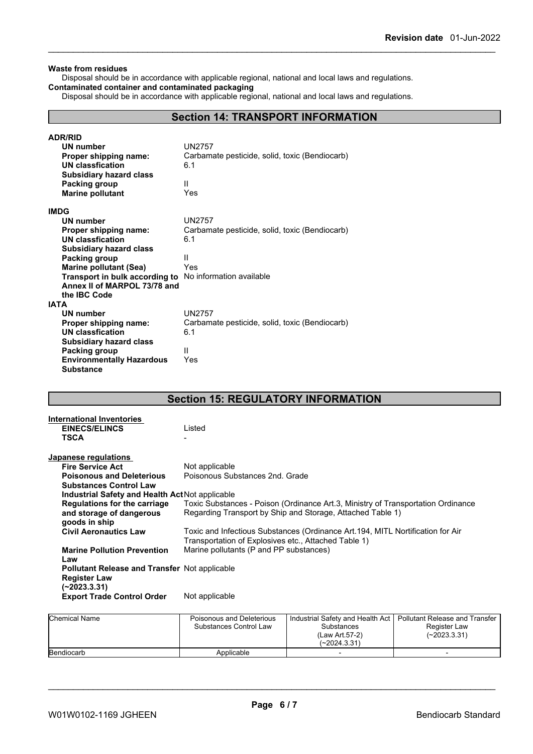#### **Waste from residues**

Disposal should be in accordance with applicable regional, national and local laws and regulations.

## **Contaminated container and contaminated packaging**

Disposal should be in accordance with applicable regional, national and local laws and regulations.

## **Section 14: TRANSPORT INFORMATION**

| <b>ADR/RID</b>                   |                                                |
|----------------------------------|------------------------------------------------|
| <b>UN number</b>                 | <b>UN2757</b>                                  |
| Proper shipping name:            | Carbamate pesticide, solid, toxic (Bendiocarb) |
| <b>UN classfication</b>          | 6.1                                            |
| <b>Subsidiary hazard class</b>   |                                                |
| Packing group                    | Ш                                              |
| <b>Marine pollutant</b>          | Yes                                            |
| <b>IMDG</b>                      |                                                |
| <b>UN number</b>                 | <b>UN2757</b>                                  |
| Proper shipping name:            | Carbamate pesticide, solid, toxic (Bendiocarb) |
| <b>UN classfication</b>          | 6.1                                            |
| <b>Subsidiary hazard class</b>   |                                                |
| Packing group                    | Ш                                              |
| <b>Marine pollutant (Sea)</b>    | Yes                                            |
| Transport in bulk according to   | No information available                       |
| Annex II of MARPOL 73/78 and     |                                                |
| the IBC Code                     |                                                |
| <b>IATA</b>                      |                                                |
| <b>UN number</b>                 | UN2757                                         |
| Proper shipping name:            | Carbamate pesticide, solid, toxic (Bendiocarb) |
| <b>UN classfication</b>          | 6.1                                            |
| <b>Subsidiary hazard class</b>   |                                                |
| Packing group                    | Ш                                              |
| <b>Environmentally Hazardous</b> | Yes                                            |
| <b>Substance</b>                 |                                                |

## **Section 15: REGULATORY INFORMATION**

| International Inventories<br><b>EINECS/ELINCS</b><br><b>TSCA</b>                            | Listed                                                                                                                                 |  |  |  |
|---------------------------------------------------------------------------------------------|----------------------------------------------------------------------------------------------------------------------------------------|--|--|--|
| Japanese regulations                                                                        |                                                                                                                                        |  |  |  |
| <b>Fire Service Act</b>                                                                     | Not applicable                                                                                                                         |  |  |  |
| <b>Poisonous and Deleterious</b>                                                            | Poisonous Substances 2nd, Grade                                                                                                        |  |  |  |
| <b>Substances Control Law</b>                                                               |                                                                                                                                        |  |  |  |
| Industrial Safety and Health Act Not applicable                                             |                                                                                                                                        |  |  |  |
| Regulations for the carriage                                                                | Toxic Substances - Poison (Ordinance Art.3, Ministry of Transportation Ordinance                                                       |  |  |  |
| and storage of dangerous<br>goods in ship                                                   | Regarding Transport by Ship and Storage, Attached Table 1)                                                                             |  |  |  |
| <b>Civil Aeronautics Law</b>                                                                | Toxic and Infectious Substances (Ordinance Art.194, MITL Nortification for Air<br>Transportation of Explosives etc., Attached Table 1) |  |  |  |
| <b>Marine Pollution Prevention</b><br>Law                                                   | Marine pollutants (P and PP substances)                                                                                                |  |  |  |
| <b>Pollutant Release and Transfer Not applicable</b><br><b>Register Law</b><br>(~2023.3.31) |                                                                                                                                        |  |  |  |
| <b>Export Trade Control Order</b>                                                           | Not applicable                                                                                                                         |  |  |  |

| Chemical Name | Poisonous and Deleterious<br>Substances Control Law | I Industrial Safety and Health Act I<br>Substances<br>(Law Art.57-2)<br>$(-2024.3.31)$ | I Pollutant Release and Transfer '<br>Register Law<br>$(-2023.3.31)$ |
|---------------|-----------------------------------------------------|----------------------------------------------------------------------------------------|----------------------------------------------------------------------|
| Bendiocarb    | Applicable                                          |                                                                                        |                                                                      |